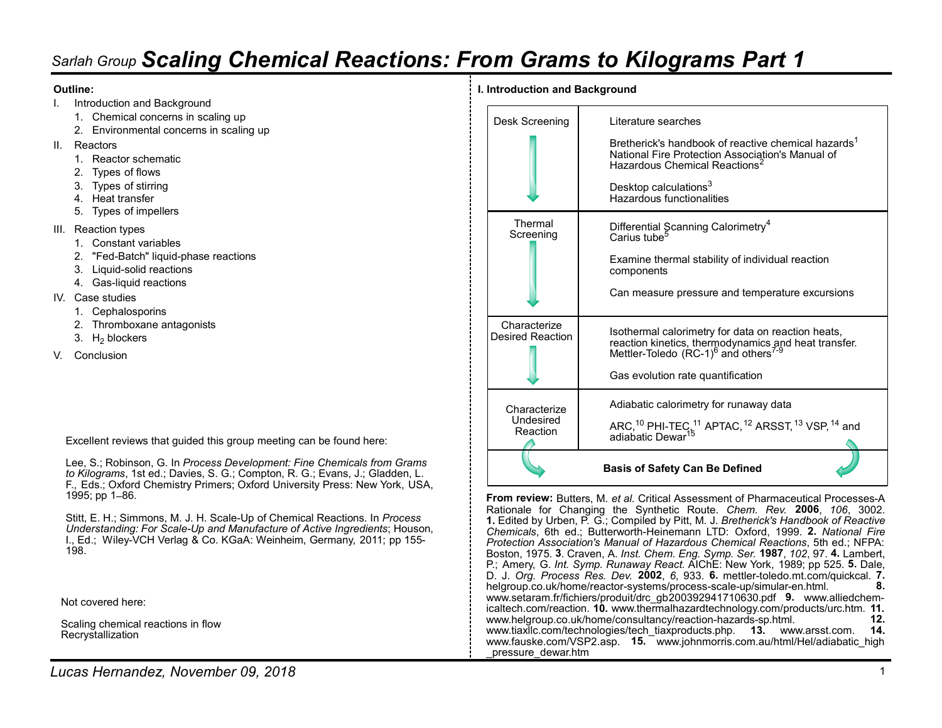# Sarlah Group Scaling Chemical Reactions: From Grams to Kilograms Part 1 Sarlah Group **Scaling Chemical Reactions: Provide and Background**<br>I. Introduction and Background<br>1. Chemical concerns in scaling up<br>2. Environmental concerns in scaling up<br>II. Reactors<br>1. Reactor schematic<br>2. Types of flow Vah Group **Scaling Chemical Reactions: France**<br>
Introduction and Background<br>
1. Chemical concerns in scaling up<br>
2. Environmental concerns in scaling up<br>
Reactors<br>
1. Reactor schematic<br>
2. Types of flows<br>
3. Types of stirr **Example 12. Exploring Chemical Reactions: Franchise Scaling Chemical Reactions: Franchise Alta Chemical concerns in scaling up<br>
Introduction and Background<br>
2. Environmental concerns in scaling up<br>
Reactors<br>
1. Reactor sc** Sarlah Group **Scaling Chemical Reactions: P**<br>
Outline:<br>
I. Introduction and Background<br>
1. Chemical concerns in scaling up<br>
2. Environmental concerns in scaling up<br>
II. Reactors<br>
1. Reactors<br>
2. Types of flows<br>
3. Types of Vah Group **Scaling Chemical Reactions: France**<br>
Inte:<br>
Introduction and Background<br>
1. Chemical concerns in scaling up<br>
2. Environmental concerns in scaling up<br>
Reactors<br>
1. Reactor schematic<br>
2. Types of filows<br>
4. Heat t Vah Group **Scaling Chemical Reactions: France:**<br>Inte:<br>Introduction and Background<br>1. Chemical concerns in scaling up<br>2. Environmental concerns in scaling up<br>Reactors<br>1. Reactor schematic<br>3. Types of flows<br>3. Types of stirr Van Group **Scaling Chemical Reactions: Frame:**<br>
Introduction and Background<br>
1. Chemical concerns in scaling up<br>
2. Environmental concerns in scaling up<br>
Reactors<br>
2. Types of flows<br>
3. Types of stirring<br>
4. Heat transfer<br> Vality Controllery Chemical Reactions: Fractions: The<br>
Introduction and Background<br>
1. Chemical concerns in scaling up<br>
2. Environmental concerns in scaling up<br>
Reactors<br>
1. Reactor schematic<br>
3. Types of flows<br>
3. Types o Sarlah Group **Scaling Chemical Reactions: F**<br>
Outline:<br>
I. Introduction and Background<br>
1. Chemical concerns in scaling up<br>
2. Environmental concerns in scaling up<br>
II. Reactors<br>
1. Reactor schematic<br>
2. Types of flows<br>
3. Variables Constant Constant Constant Constant Constant Constant Constant Constant Constant Constant Constant Constant Constant Constant Constant Constant Constant Constant Constant Constant Constant Constant Constant Const Vality Controllery Chemical Reactions: France<br>
Introduction and Background<br>
2. Environmental concerns in scaling up<br>
2. Environmental concerns in scaling up<br>
Reactors<br>
2. Types of flows<br>
3. Types of string<br>
2. Types of str Mah Group Scaling Chemical Reactions: Franchistan Background<br>
1. Chemical concerns in scaling up<br>
2. Environmental concerns in scaling up<br>
2. Environmental concerns in scaling up<br>
2. Types of filows<br>
1. Reactor schematic<br> Mah Group Scaling Chemical Reactions: Fractions: The<br>
interduction and Background<br>
1. Chemical concerns in scaling up<br>
2. Environmental concerns in scaling up<br>
Reactors<br>
2. Types of flows<br>
3. Types of sturing<br>
2. Types of Valit Group **Scaling Chemical Reactions: Frimation**<br>
Introduction and Background<br>
1. Chemical concerns in scaling up<br>
Reactors<br>
2. Environmental concerns in scaling up<br>
Reactors<br>
1. Reactor schematic<br>
1. Types of flows<br>
3. Van Group **Scaling Chemical Reactions: Frame:**<br>
Interduction and Background<br>
1. Chemical concerns in scaling up<br>
2. Environmental concerns in scaling up<br>
2. Types of flows<br>
1. Reactor schematic<br>
2. Types of flows<br>
1. Chemi Vality Crienting Chemical Reactions: Fractions: Fraction and Background<br>
1. Chemical concerns in scaling up<br>
2. Environmental concerns in scaling up<br>
2. Environmental concerns in scaling up<br>
1. Reactors<br>
1. Reactor schemat

### Outline:

- -
	-
- -
	-
	-
	-
	-
- -
	-
	-
	-
- IV. Case studies **EXECUTE:** The studies of the studies of the studies of the studies of the studies of the studies
	-
	-
	- 3.  $H_2$  blockers
- V. Conclusion

Excellent reviews that guided this group meeting can be found here:

Lee, S.; Robinson, G. In Process Development: Fine Chemicals from Grams to Kilograms, 1st ed.; Davies, S. G.; Compton, R. G.; Evans, J.; Gladden, L. F., Eds.; Oxford Chemistry Primers; Oxford University Press: New York, USA, 1995; pp 1-86.

198.

Not covered here:

Scaling chemical reactions in flow Recrystallization

### I. Introduction and Background

| Desk Screening                          | Literature searches                                                                                                                                                                                                                                                                                                                                                                                                                                                                                                                                                                                                                                                                                                                                                                                                                                                                                                                                                                                                                                                                                                                                                             |
|-----------------------------------------|---------------------------------------------------------------------------------------------------------------------------------------------------------------------------------------------------------------------------------------------------------------------------------------------------------------------------------------------------------------------------------------------------------------------------------------------------------------------------------------------------------------------------------------------------------------------------------------------------------------------------------------------------------------------------------------------------------------------------------------------------------------------------------------------------------------------------------------------------------------------------------------------------------------------------------------------------------------------------------------------------------------------------------------------------------------------------------------------------------------------------------------------------------------------------------|
|                                         | Bretherick's handbook of reactive chemical hazards <sup>1</sup><br>National Fire Protection Association's Manual of<br>Hazardous Chemical Reactions <sup>2</sup>                                                                                                                                                                                                                                                                                                                                                                                                                                                                                                                                                                                                                                                                                                                                                                                                                                                                                                                                                                                                                |
|                                         | Desktop calculations <sup>3</sup><br>Hazardous functionalities                                                                                                                                                                                                                                                                                                                                                                                                                                                                                                                                                                                                                                                                                                                                                                                                                                                                                                                                                                                                                                                                                                                  |
| Thermal<br>Screening                    | Differential Scanning Calorimetry <sup>4</sup><br>Carius tube <sup>5</sup>                                                                                                                                                                                                                                                                                                                                                                                                                                                                                                                                                                                                                                                                                                                                                                                                                                                                                                                                                                                                                                                                                                      |
|                                         | Examine thermal stability of individual reaction<br>components                                                                                                                                                                                                                                                                                                                                                                                                                                                                                                                                                                                                                                                                                                                                                                                                                                                                                                                                                                                                                                                                                                                  |
|                                         | Can measure pressure and temperature excursions                                                                                                                                                                                                                                                                                                                                                                                                                                                                                                                                                                                                                                                                                                                                                                                                                                                                                                                                                                                                                                                                                                                                 |
| Characterize<br><b>Desired Reaction</b> | Isothermal calorimetry for data on reaction heats,<br>reaction kinetics, thermodynamics and heat transfer.<br>Mettler-Toledo (RC-1) <sup>6</sup> and others <sup>7-9</sup>                                                                                                                                                                                                                                                                                                                                                                                                                                                                                                                                                                                                                                                                                                                                                                                                                                                                                                                                                                                                      |
|                                         | Gas evolution rate quantification                                                                                                                                                                                                                                                                                                                                                                                                                                                                                                                                                                                                                                                                                                                                                                                                                                                                                                                                                                                                                                                                                                                                               |
| Characterize                            | Adiabatic calorimetry for runaway data                                                                                                                                                                                                                                                                                                                                                                                                                                                                                                                                                                                                                                                                                                                                                                                                                                                                                                                                                                                                                                                                                                                                          |
| Undesired<br>Reaction                   | ARC, <sup>10</sup> PHI-TEC, <sup>11</sup> APTAC, <sup>12</sup> ARSST, <sup>13</sup> VSP, <sup>14</sup> and<br>adiabatic Dewar <sup>15</sup>                                                                                                                                                                                                                                                                                                                                                                                                                                                                                                                                                                                                                                                                                                                                                                                                                                                                                                                                                                                                                                     |
|                                         | <b>Basis of Safety Can Be Defined</b>                                                                                                                                                                                                                                                                                                                                                                                                                                                                                                                                                                                                                                                                                                                                                                                                                                                                                                                                                                                                                                                                                                                                           |
| processes dougration                    | From review: Butters, M. et al. Critical Assessment of Pharmaceutical Processes-A<br>Rationale for Changing the Synthetic Route. Chem. Rev. 2006, 106, 3002.<br>1. Edited by Urben, P. G.; Compiled by Pitt, M. J. Bretherick's Handbook of Reactive<br>Chemicals, 6th ed.; Butterworth-Heinemann LTD: Oxford, 1999. 2. National Fire<br>Protection Association's Manual of Hazardous Chemical Reactions, 5th ed.; NFPA:<br>Boston, 1975. 3. Craven, A. Inst. Chem. Eng. Symp. Ser. 1987, 102, 97. 4. Lambert,<br>P.; Amery, G. Int. Symp. Runaway React. AIChE: New York, 1989; pp 525. 5. Dale,<br>D. J. Org. Process Res. Dev. 2002, 6, 933. 6. mettler-toledo.mt.com/quickcal. 7.<br>helgroup.co.uk/home/reactor-systems/process-scale-up/simular-en.html.<br>8.<br>www.setaram.fr/fichiers/produit/drc_gb200392941710630.pdf 9. www.alliedchem-<br>icaltech.com/reaction. 10. www.thermalhazardtechnology.com/products/urc.htm. 11.<br>www.helgroup.co.uk/home/consultancy/reaction-hazards-sp.html.<br>12.<br>www.tiaxllc.com/technologies/tech_tiaxproducts.php. 13. www.arsst.com.<br>14.<br>www.fauske.com/VSP2.asp. 15. www.johnmorris.com.au/html/Hel/adiabatic high |

Stitt, E. H.; Simmons, M. J. H. Scale-Up of Chemical Reactions. In Process [Rationale for Changing the Synthetic Route. Chem. Rev. 2006, 106, 3002.<br>1. Edited by Urben P. G. Compiled by Pitt M. J. Bretherick's Handbook of R Understanding: For Scale-Up and Manufacture of Active Ingredients; Houson, The Chemicals, 6th ed.; Butterworth-Heinemann LTD: Oxford, 1999. 2. National Fire I., Ed.; Wiley-VCH Verlag & Co. KGaA: Weinheim, Germany, 2011; pp 155-<br>Protection Association's Manual of Hazardous Chemical Reactions, 5th ed.; NFPA: 1. Edited by Urben, P. G.; Compiled by Pitt, M. J. Bretherick's Handbook of Reactive helgroup.co.uk/home/reactor-systems/process-scale-up/simular-en.html. 8. www.setaram.fr/fichiers/produit/drc\_gb200392941710630.pdf 9. www.alliedchemicaltech.com/reaction. 10. www.thermalhazardtechnology.com/products/urc.htm. 11. www.helgroup.co.uk/home/consultancy/reaction-hazards-sp.html. 12.<br>www.tiaxllc.com/technologies/tech\_tiaxproducts.php. 13. www.arsst.com. 14. www.tiaxllc.com/technologies/tech\_tiaxproducts.php. 13. www.arsst.com. www.fauske.com/VSP2.asp. **15.** www.johnmorris.com.au/html/Hel/adiabatic\_high \_pressure\_dewar.htm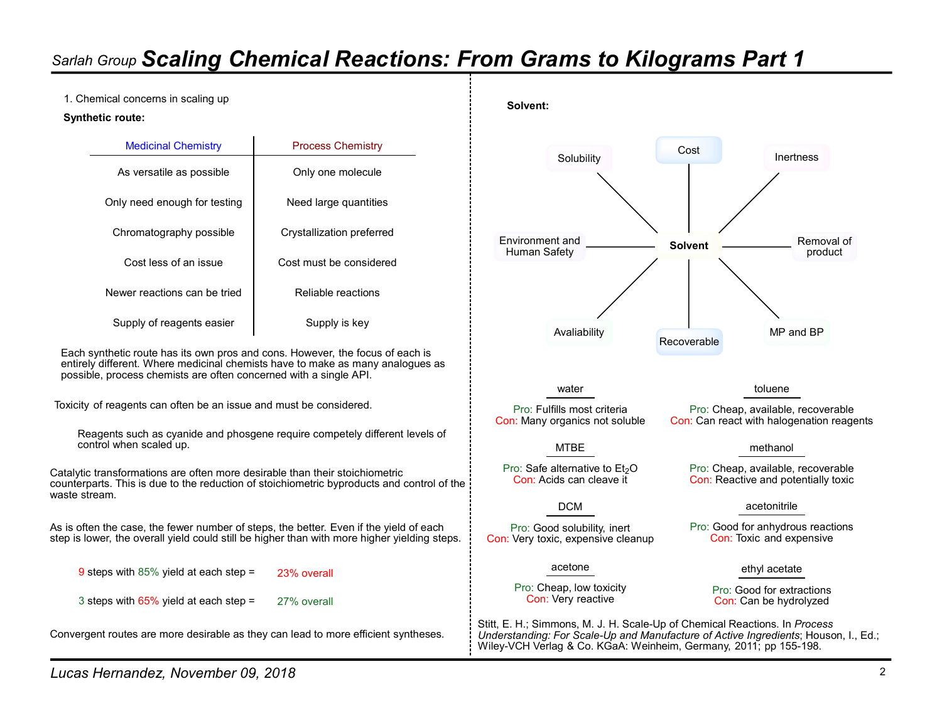1. Chemical concerns in scaling up

#### Synthetic route:

|                 | <b>Process Chemistry</b>  | <b>Medicinal Chemistry</b>   |
|-----------------|---------------------------|------------------------------|
| Solubility      | Only one molecule         | As versatile as possible     |
|                 | Need large quantities     | Only need enough for testing |
| Environment and | Crystallization preferred | Chromatography possible      |
| Human Safety    | Cost must be considered   | Cost less of an issue        |
|                 | Reliable reactions        | Newer reactions can be tried |
|                 | Supply is key             | Supply of reagents easier    |

Each synthetic route has its own pros and cons. However, the focus of each is entirely different. Where medicinal chemists have to make as many analogues as possible, process chemists are often concerned with a single API.

Toxicity of reagents can often be an issue and must be considered.

Reagents such as cyanide and phosgene require competely different levels of control when scaled up.

Catalytic transformations are often more desirable than their stoichiometric  $\rho$  Pro: Safe alternative to Et<sub>2</sub>O counterparts. This is due to the reduction of stoichiometric byproducts and control of the waste stream.

As is often the case, the fewer number of steps, the better. Even if the yield of each step is lower, the overall yield could still be higher than with more higher yielding steps.

23% overall

27% overall

Convergent routes are more desirable as they can lead to more efficient syntheses.



water

Con: Acids can cleave it

Pro: Good solubility, inert Con: Very toxic, expensive cleanup

Pro: Cheap, low toxicity

Pro: Fulfills most criteria Pro: Cheap, available, recoverable Con: Many organics not soluble Con: Can react with halogenation reagents

toluene

#### MTBE methanol

Pro: Safe alternative to Et<sub>2</sub>O Pro: Cheap, available, recoverable Con: Reactive and potentially toxic

#### acetonitrile DCM

Pro: Good for anhydrous reactions Con: Toxic and expensive

### acetone ethyl acetate ethyle acetate acetone ethyle acetate acetate acetate acetate acetate acetate acetate ace

Con: Very reactive Con: Can be hydrolyzed Pro: Good for extractions

Stitt, E. H.; Simmons, M. J. H. Scale-Up of Chemical Reactions. In Process Understanding: For Scale-Up and Manufacture of Active Ingredients; Houson, I., Ed.; Wiley-VCH Verlag & Co. KGaA: Weinheim, Germany, 2011; pp 155-198.

9 steps with 85% yield at each step =

3 steps with 65% yield at each step =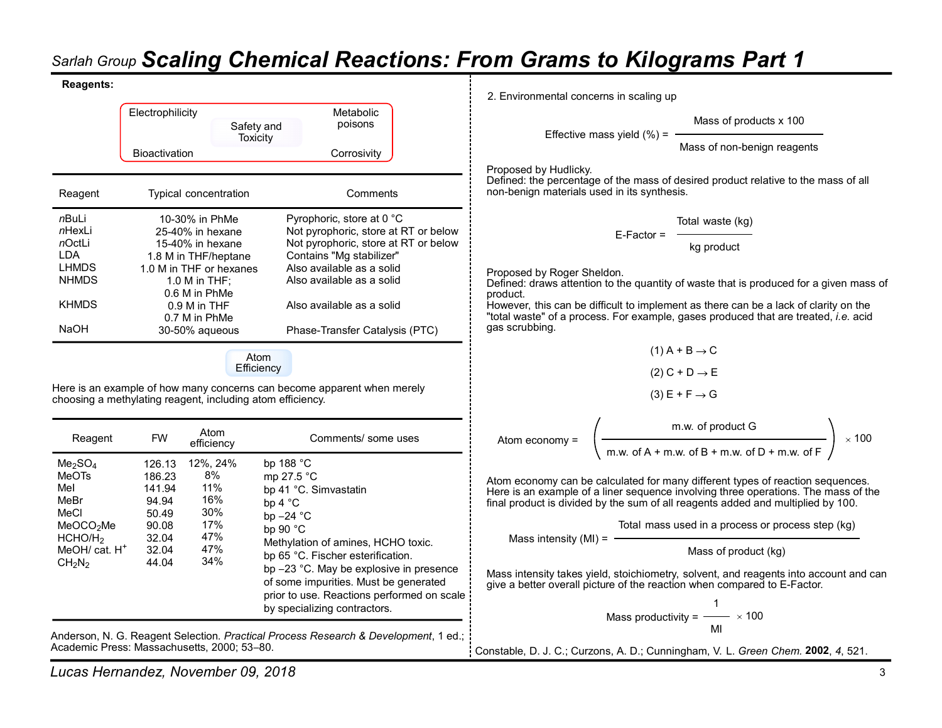### Reagents:

|                                                                                    |                                    |                                                                                   |                                                                                                                                       | <b>Sarlah Group Scaling Chemical Reactions: From Grams to Kilograms</b>                                                                                             |
|------------------------------------------------------------------------------------|------------------------------------|-----------------------------------------------------------------------------------|---------------------------------------------------------------------------------------------------------------------------------------|---------------------------------------------------------------------------------------------------------------------------------------------------------------------|
| <b>Reagents:</b>                                                                   |                                    |                                                                                   |                                                                                                                                       | 2. Environmental concerns in scaling up                                                                                                                             |
|                                                                                    | Electrophilicity                   |                                                                                   | Metabolic<br>poisons<br>Safety and                                                                                                    | Mass of                                                                                                                                                             |
|                                                                                    | <b>Bioactivation</b>               |                                                                                   | Toxicity<br>Corrosivity                                                                                                               | Effective mass yield $(\%)$ =<br>Mass of no                                                                                                                         |
| Reagent                                                                            |                                    | Typical concentration                                                             | Comments                                                                                                                              | Proposed by Hudlicky.<br>Defined: the percentage of the mass of desired proc<br>non-benign materials used in its synthesis.                                         |
| nBuLi                                                                              |                                    | 10-30% in PhMe                                                                    | Pyrophoric, store at 0 °C                                                                                                             | Total waste                                                                                                                                                         |
| nHexLi<br>nOctLi                                                                   |                                    | 25-40% in hexane<br>15-40% in hexane                                              | Not pyrophoric, store at RT or below<br>Not pyrophoric, store at RT or below                                                          | $E$ -Factor =<br>kg produ                                                                                                                                           |
| <b>LDA</b><br><b>LHMDS</b><br><b>NHMDS</b>                                         |                                    | 1.8 M in THF/heptane<br>1.0 M in THF or hexanes<br>1.0 M in THF:<br>0.6 M in PhMe | Contains "Mg stabilizer"<br>Also available as a solid<br>Also available as a solid                                                    | Proposed by Roger Sheldon.<br>Defined: draws attention to the quantity of waste tha                                                                                 |
| <b>KHMDS</b><br><b>NaOH</b>                                                        |                                    | $0.9$ M in THF<br>0.7 M in PhMe<br>30-50% aqueous                                 | Also available as a solid<br>Phase-Transfer Catalysis (PTC)                                                                           | product.<br>However, this can be difficult to implement as there<br>"total waste" of a process. For example, gases prod<br>gas scrubbing.                           |
|                                                                                    |                                    |                                                                                   |                                                                                                                                       | $(1)$ A + B $\rightarrow$ C                                                                                                                                         |
|                                                                                    |                                    |                                                                                   | Atom<br>Efficiency                                                                                                                    | $(2) C + D \rightarrow E$                                                                                                                                           |
|                                                                                    |                                    |                                                                                   | Here is an example of how many concerns can become apparent when merely<br>choosing a methylating reagent, including atom efficiency. | $(3)$ E + F $\rightarrow$ G                                                                                                                                         |
| Reagent                                                                            | <b>FW</b>                          | Atom                                                                              | Comments/ some uses                                                                                                                   | m.w. of prod<br>Atom economy =                                                                                                                                      |
| Me <sub>2</sub> SO <sub>4</sub>                                                    | 126.13                             | efficiency<br>12%, 24%                                                            | bp 188 °C                                                                                                                             | m.w. of $A + m$ .w. of $B + m$ .                                                                                                                                    |
| MeOTs<br>Mel<br>MeBr<br>MeCl                                                       | 186.23<br>141.94<br>94.94<br>50.49 | 8%<br>11%<br>16%<br>30%                                                           | mp 27.5 °C<br>bp 41 °C. Simvastatin<br>bp 4 °C<br>bp $-24$ °C                                                                         | Atom economy can be calculated for many different<br>Here is an example of a liner sequence involving thr<br>final product is divided by the sum of all reagents ad |
| MeOCO <sub>2</sub> Me                                                              | 90.08<br>32.04                     | 17%<br>47%                                                                        | bp 90 °C                                                                                                                              | Total mass used in a pro                                                                                                                                            |
| HCHO/H <sub>2</sub><br>MeOH/ cat. H <sup>+</sup><br>CH <sub>2</sub> N <sub>2</sub> | 32.04<br>44.04                     | 47%<br>34%                                                                        | Methylation of amines, HCHO toxic.<br>bp 65 °C. Fischer esterification.<br>bp -23 °C. May be explosive in presence                    | Mass intensity $(MI) =$<br>Mass of p                                                                                                                                |
|                                                                                    |                                    |                                                                                   | of some impurities. Must be generated<br>prior to use. Reactions performed on scale<br>by specializing contractors.                   | Mass intensity takes yield, stoichiometry, solvent, ar<br>give a better overall picture of the reaction when cor<br>1                                               |

Anderson, N. G. Reagent Selection. Practical Process Research & Development, 1 ed.; Academic Press: Massachusetts, 2000; 53-80.

 $M$ ass of products x 100<br>Effective mass yield (%) =  $\frac{M}{M}$ 

Mass of non-benign reagents

Defined: the percentage of the mass of desired product relative to the mass of all non-benign materials used in its synthesis.

E-Factor = Total waste (kg)

kg product

Also available as a solid Defined: draws attention to the quantity of waste that is produced for a given mass of product.

Also available as a solid However, this can be difficult to implement as there can be a lack of clarity on the "total waste" of a process. For example, gases produced that are treated, i.e. acid

| $(1)$ A + B $\rightarrow$ C |  |  |
|-----------------------------|--|--|
| $(2)$ C + D $\rightarrow$ E |  |  |
| $(3)$ E + F $\rightarrow$ G |  |  |

| Atom economv = | m.w. of product G                                        | 100 |
|----------------|----------------------------------------------------------|-----|
|                | m.w. of $A + m$ .w. of $B + m$ .w. of $D + m$ .w. of $F$ |     |

8% mp 27.5 °C Atom economy can be calculated for many different types of reaction sequences. 11% bp 41 °C. Simvastatin **Example of a liner sequence involving three operations.** The mass of the 16% bp 4 °C final product is divided by the sum of all reagents added and multiplied by 100.

Total mass used in a process or process step (kg)

Mass of product (kg)

bp 23 °C. May be explosive in presence Mass intensity takes yield, stoichiometry, solvent, and reagents into account and can of some impurities. Must be generated give a better overall picture of the reaction when compared to E-Factor.

Mass productivity = 
$$
\frac{1}{\text{MI}} \times 100
$$

Constable, D. J. C.; Curzons, A. D.; Cunningham, V. L. Green Chem. 2002, 4, 521.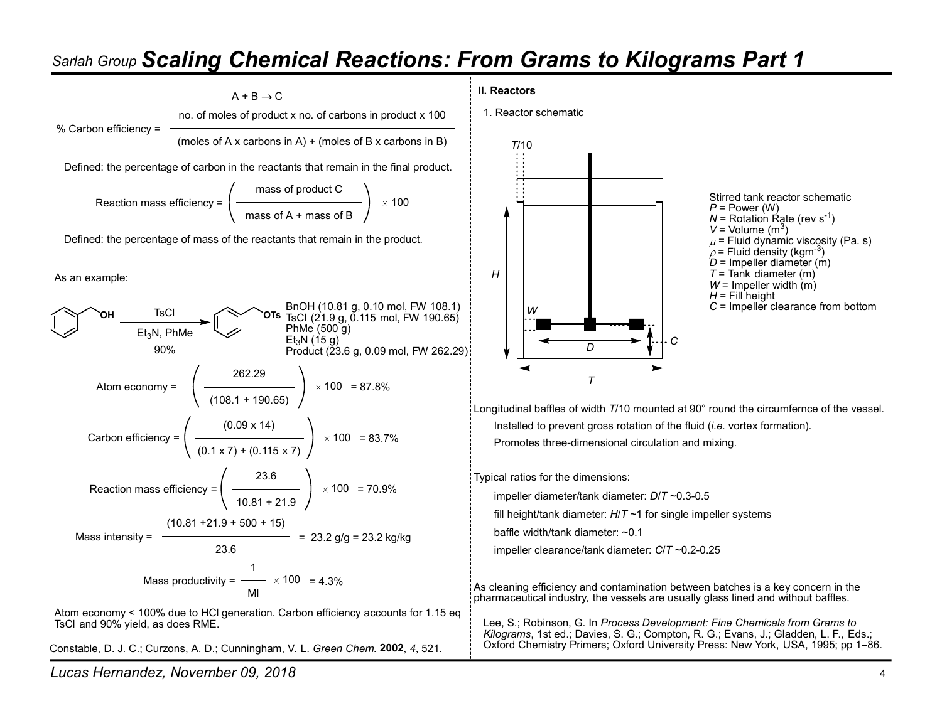

Constable, D. J. C.; Curzons, A. D.; Cunningham, V. L. Green Chem. 2002, 4, 521.

Lucas Hernandez, November 09, 2018 4

#### II. Reactors

1. Reactor schematic



Stirred tank reactor schematic  $P = Power (W)$  $N$  = Rotation Rate (rev s<sup>-1</sup>) -1)  $V =$  Volume  $(m<sup>3</sup>)$ ) and  $\overline{a}$  and  $\overline{a}$  and  $\overline{a}$  and  $\overline{a}$  and  $\overline{a}$  and  $\overline{a}$  and  $\overline{a}$  and  $\overline{a}$  and  $\overline{a}$  and  $\overline{a}$  and  $\overline{a}$  and  $\overline{a}$  and  $\overline{a}$  and  $\overline{a}$  and  $\overline{a}$  and  $\overline{a}$  and  $\overline{a}$  $\mu$  = Fluid dynamic viscosity (Pa. s)  $\rho$  = Fluid density (kgm<sup>-3</sup>)  $D =$  Impeller diameter (m)  $W =$  Impeller width  $(m)$  $H =$  Fill height

100 = 83.7% Promotes three-dimensional circulation and mixing. Longitudinal baffles of width T/10 mounted at 90° round the circumfernce of the vessel. Installed to prevent gross rotation of the fluid *(i.e.* vortex formation).

Typical ratios for the dimensions:

100 = 70.9%  $\vdots$  impeller diameter/tank diameter:  $D/T \sim 0.3$ -0.5

fill height/tank diameter:  $H/T \sim 1$  for single impeller systems

baffle width/tank diameter: ~0.1

impeller clearance/tank diameter: C/T ~0.2-0.25

= 4.3% As cleaning efficiency and contamination between batches is a key concern in the pharmaceutical industry, the vessels are usually glass lined and without baffles.

> Lee, S.; Robinson, G. In Process Development: Fine Chemicals from Grams to Kilograms, 1st ed.; Davies, S. G.; Compton, R. G.; Evans, J.; Gladden, L. F., Eds.; Oxford Chemistry Primers; Oxford University Press: New York, USA, 1995; pp 1–86.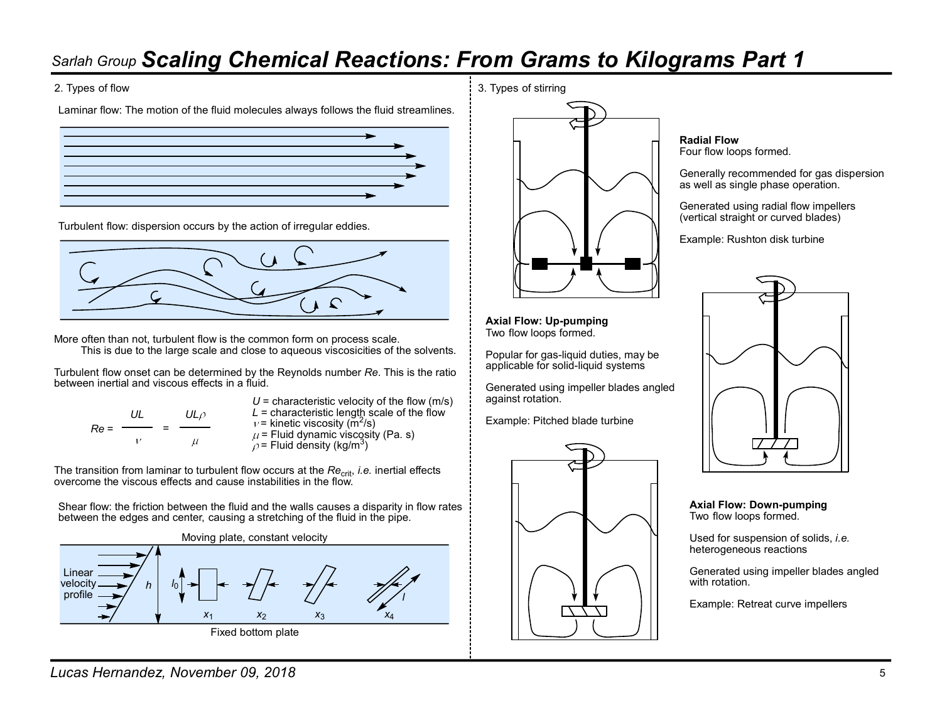Laminar flow: The motion of the fluid molecules always follows the fluid streamlines.



Turbulent flow: dispersion occurs by the action of irregular eddies.



More often than not, turbulent flow is the common form on process scale. This is due to the large scale and close to aqueous viscosicities of the solvents.

Turbulent flow onset can be determined by the Reynolds number Re. This is the ratio between inertial and viscous effects in a fluid.

$$
Re = \frac{UL}{V} = \frac{UL\rho}{\mu}
$$

UL UL $\rho$  L = characteristic length scale of the flow<br>Re =  $\frac{UL}{V}$  =  $\frac{UL}{V}$  = kinetic viscosity (m<sup>2</sup>/s) = Example: Pitched b  $U =$  characteristic velocity of the flow (m/s)  $L =$  characteristic length scale of the flow /s)  $\mu$  = Fluid dynamic viscosity (Pa. s)  $\rho$  = Fluid density (kg/m<sup>3</sup>) ) and the set of  $\mathbf{I}$ 

The transition from laminar to turbulent flow occurs at the Re<sub>crit</sub>, *i.e.* inertial effects  $\begin{matrix} \vdots \ \vdots \end{matrix}$ 

Shear flow: the friction between the fluid and the walls causes a disparity in flow rates between the edges and center, causing a stretching of the fluid in the pipe.



2. Types of flow 3. Types of stirring  $\frac{1}{3}$ . Types of stirring  $\frac{1}{3}$ . Types of stirring



Axial Flow: Up-pumping Two flow loops formed.

Popular for gas-liquid duties, may be applicable for solid-liquid systems

Generated using impeller blades angled against rotation.

Example: Pitched blade turbine



Radial Flow Four flow loops formed.

Generally recommended for gas dispersion as well as single phase operation.

Generated using radial flow impellers (vertical straight or curved blades)

Example: Rushton disk turbine



Axial Flow: Down-pumping Two flow loops formed.

Used for suspension of solids, *i.e.* heterogeneous reactions

Generated using impeller blades angled with rotation

Example: Retreat curve impellers

Lucas Hernandez, November 09, 2018 5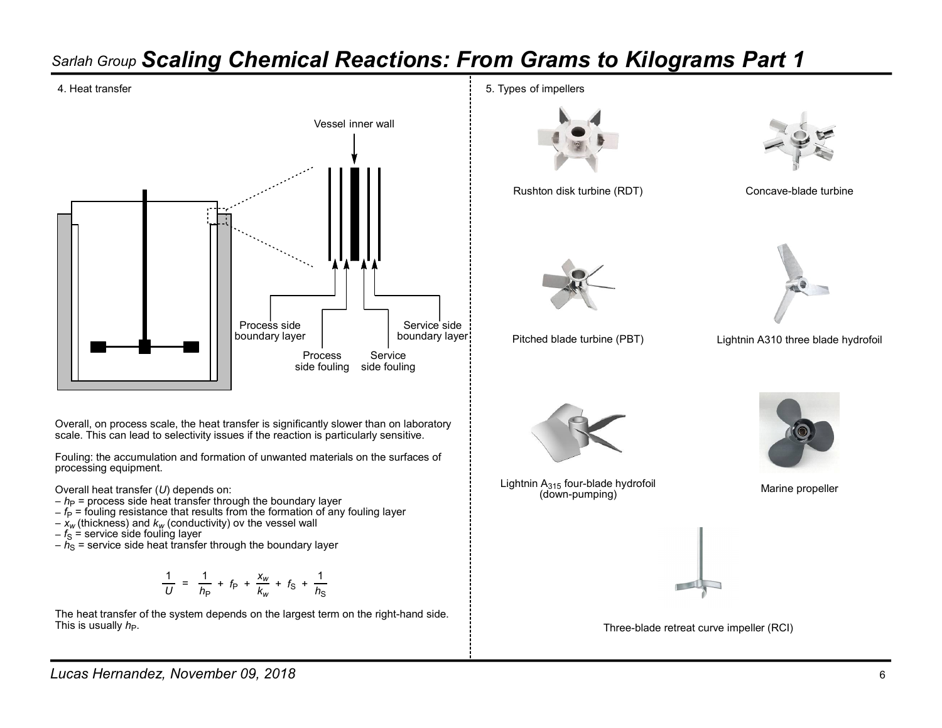

Overall, on process scale, the heat transfer is significantly slower than on laboratory scale. This can lead to selectivity issues if the reaction is particularly sensitive.

Fouling: the accumulation and formation of unwanted materials on the surfaces of processing equipment.

Overall heat transfer (U) depends on:

- $h_P$  = process side heat transfer through the boundary layer
- $-f_P$  = fouling resistance that results from the formation of any fouling layer
- $-\overline{x_w}$  (thickness) and  $k_w$  (conductivity) ov the vessel wall

 $-f_{\rm S} =$  service side fouling layer

 $-\tilde{h}_\text{S}$  = service side heat transfer through the boundary layer

$$
\frac{1}{U} = \frac{1}{h_{\rm P}} + f_{\rm P} + \frac{x_w}{k_w} + f_{\rm S} + \frac{1}{h_{\rm S}}
$$

The heat transfer of the system depends on the largest term on the right-hand side. This is usually  $h_P$ .

4. Heat transfer the state of the state of the state of the state of the state of the state of the state of the state of the state of the state of the state of the state of the state of the state of the state of the state



Rushton disk turbine (RDT) Concave-blade turbine





Pitched blade turbine (PBT)



Lightnin  $A_{315}$  four-blade hydrofoil<br>
Marine propeller  $(down-pumping)$ 



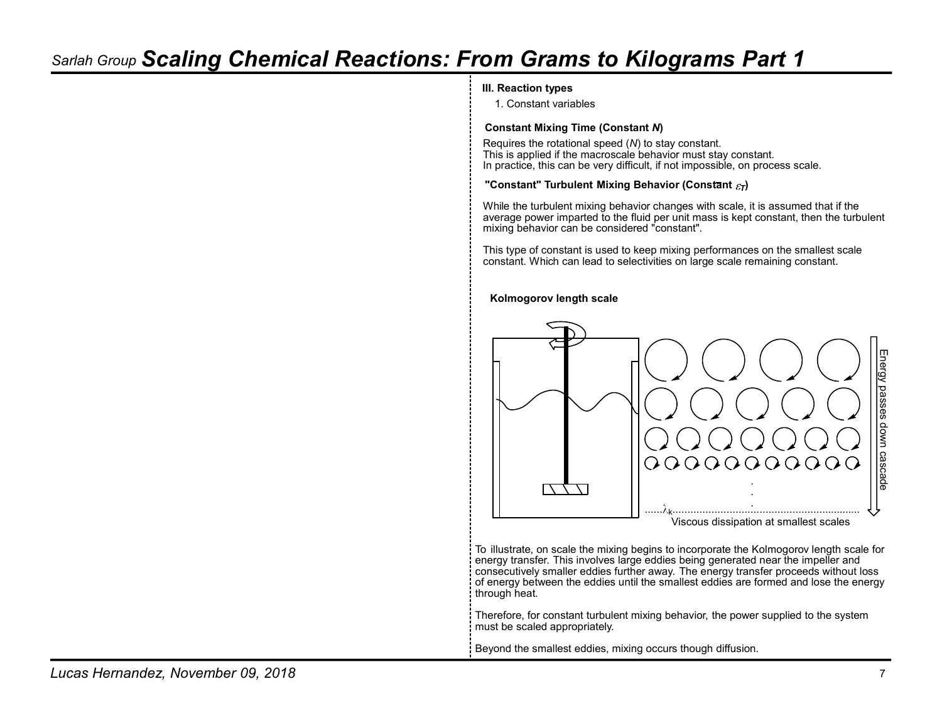### III. Reaction types

1. Constant variables

### Constant Mixing Time (Constant N)

Requires the rotational speed (N) to stay constant. This is applied if the macroscale behavior must stay constant. In practice, this can be very difficult, if not impossible, on process scale.

#### "Constant" Turbulent Mixing Behavior (Constant  $\varepsilon_T$ )

While the turbulent mixing behavior changes with scale, it is assumed that if the average power imparted to the fluid per unit mass is kept constant, then the turbulent mixing behavior can be considered "constant".

This type of constant is used to keep mixing performances on the smallest scale constant. Which can lead to selectivities on large scale remaining constant.

#### Kolmogorov length scale



To illustrate, on scale the mixing begins to incorporate the Kolmogorov length scale for energy transfer. This involves large eddies being generated near the impeller and consecutively smaller eddies further away. The energy transfer proceeds without loss of energy between the eddies until the smallest eddies are formed and lose the energy through heat.

Therefore, for constant turbulent mixing behavior, the power supplied to the system must be scaled appropriately.

Beyond the smallest eddies, mixing occurs though diffusion.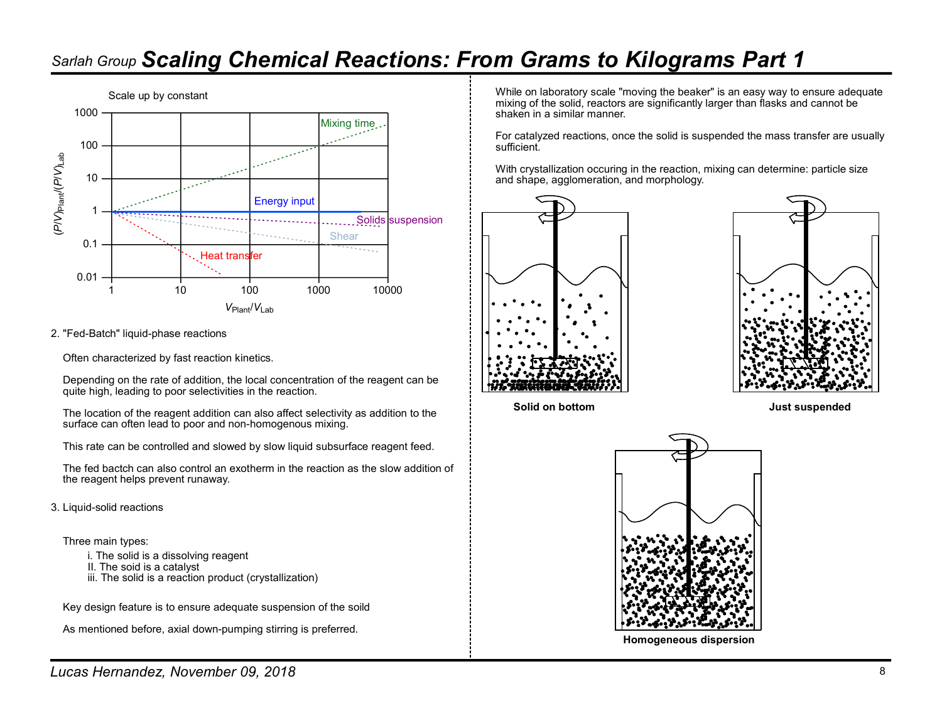

2. "Fed-Batch" liquid-phase reactions

Often characterized by fast reaction kinetics.

Depending on the rate of addition, the local concentration of the reagent can be quite high, leading to poor selectivities in the reaction.

The location of the reagent addition can also affect selectivity as addition to the **Solid on bottom** surface can often lead to poor and non-homogenous mixing.

This rate can be controlled and slowed by slow liquid subsurface reagent feed.

The fed bactch can also control an exotherm in the reaction as the slow addition of the reagent helps prevent runaway.

3. Liquid-solid reactions

Three main types:

- i. The solid is a dissolving reagent
- II. The soid is a catalyst
- iii. The solid is a reaction product (crystallization)

Key design feature is to ensure adequate suspension of the soild

As mentioned before, axial down-pumping stirring is preferred.

While on laboratory scale "moving the beaker" is an easy way to ensure adequate mixing of the solid, reactors are significantly larger than flasks and cannot be shaken in a similar manner.

For catalyzed reactions, once the solid is suspended the mass transfer are usually sufficient.

With crystallization occuring in the reaction, mixing can determine: particle size and shape, agglomeration, and morphology.







Homogeneous dispersion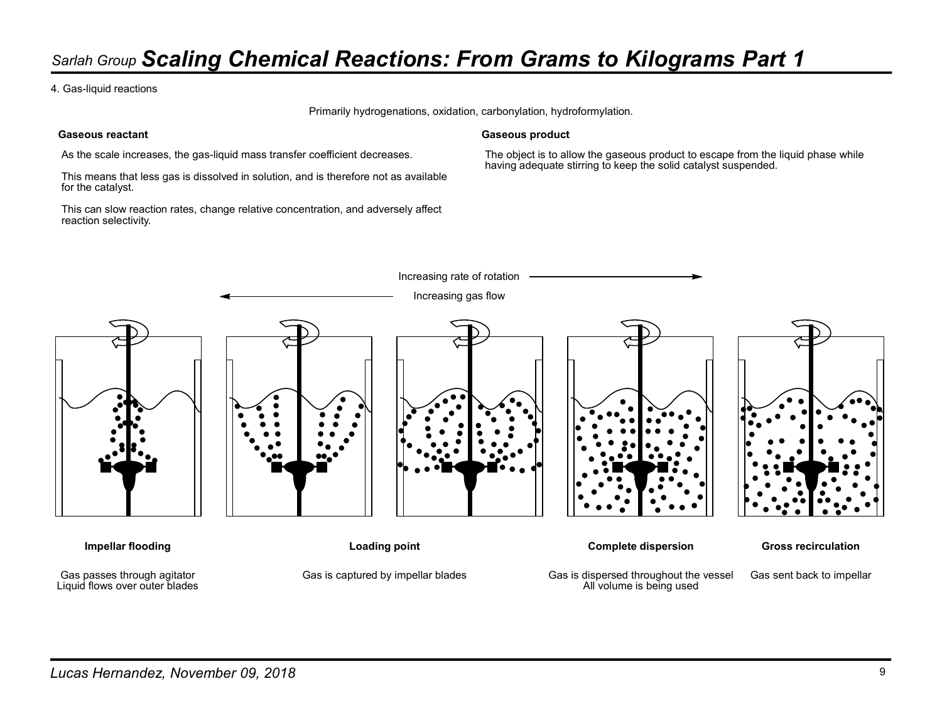4. Gas-liquid reactions

Primarily hydrogenations, oxidation, carbonylation, hydroformylation.

### Gaseous reactant

As the scale increases, the gas-liquid mass transfer coefficient decreases.

This means that less gas is dissolved in solution, and is therefore not as available for the catalyst.

This can slow reaction rates, change relative concentration, and adversely affect reaction selectivity.

### Gaseous product

The object is to allow the gaseous product to escape from the liquid phase while having adequate stirring to keep the solid catalyst suspended.

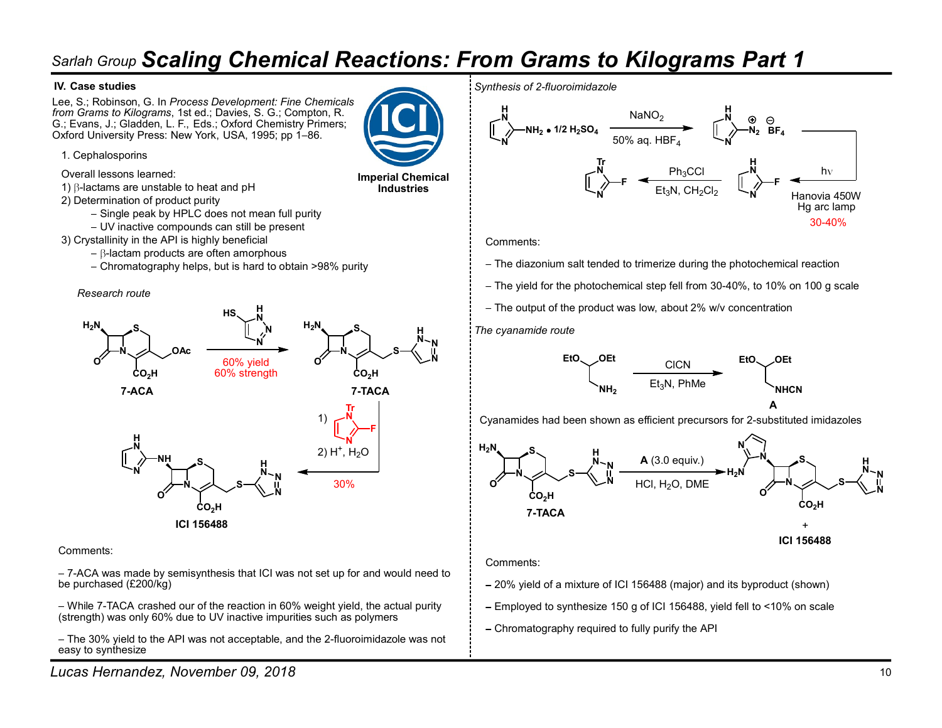### IV. Case studies

Lee, S.; Robinson, G. In Process Development: Fine Chemicals from Grams to Kilograms, 1st ed.; Davies, S. G.; Compton, R. G.; Evans, J.; Gladden, L. F., Eds.; Oxford Chemistry Primers; Oxford University Press: New York, USA, 1995; pp 1-86.



1. Cephalosporins

Overall lessons learned:

1)  $\beta$ -lactams are unstable to heat and pH

2) Determination of product purity

- Single peak by HPLC does not mean full purity
- UV inactive compounds can still be present
- 3) Crystallinity in the API is highly beneficial
	- $-\beta$ -lactam products are often amorphous
	- Chromatography helps, but is hard to obtain >98% purity

#### Research route



### Comments:

7-ACA was made by semisynthesis that ICI was not set up for and would need to be purchased (£200/kg)

While 7-TACA crashed our of the reaction in 60% weight yield, the actual purity (strength) was only 60% due to UV inactive impurities such as polymers

- The 30% yield to the API was not acceptable, and the 2-fluoroimidazole was not easy to synthesize







Comments:

- $-$  The diazonium salt tended to trimerize during the photochemical reaction
- The yield for the photochemical step fell from 30-40%, to 10% on 100 g scale
- H The output of the product was low, about 2% w/v concentration

### $N_{\sim N}$  and  $N_{\sim N}$



 $\frac{N}{2}$  cyanamides had been shown as efficient precursors for 2-substituted imidazoles



### Comments:

- 20% yield of a mixture of ICI 156488 (major) and its byproduct (shown)
- Employed to synthesize 150 g of ICI 156488, yield fell to <10% on scale
- Chromatography required to fully purify the API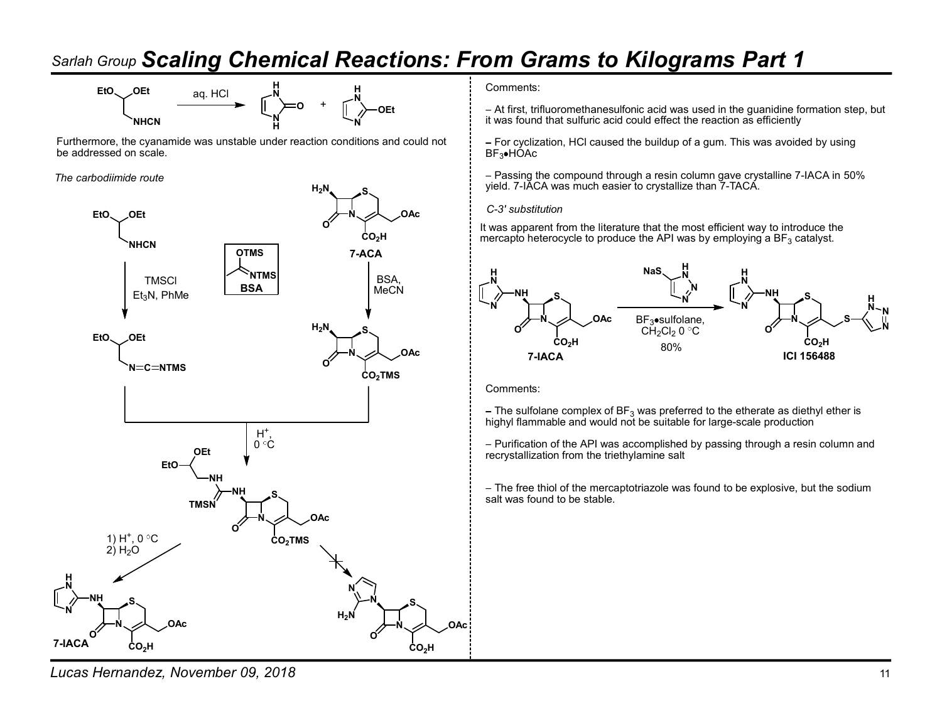

Furthermore, the cyanamide was unstable under reaction conditions and could not be addressed on scale.

The carbodiimide route



 $\mathbf{N}$  it was found that sulfuric acid could effect the reaction as efficiently  $\overrightarrow{O}$  +  $\overrightarrow{O}$  OEt  $\overrightarrow{O}$  - At first, trifluoromethanesulfonic acid was used in the guanidine formation step, but

> - For cyclization, HCl caused the buildup of a gum. This was avoided by using  $BF_3$ •HÓAc

 $H_2N$  S S SURFALL SET THE SURFALL SURFALL SURFACE TO SURFACE THE VIOLET OF PIACE OF SURFACE THE SURFACE OF SURFACE THE SURFACE OF SURFACE OF SURFACE OF SURFACE OF SURFACE OF SURFACE OF SURFACE OF SURFACE OF SURFACE OF SU Passing the compound through a resin column gave crystalline 7-IACA in 50%

 $\circ$   $\uparrow$   $\downarrow$  It was apparent from the literature that the most efficient way to introduce the  $\mathsf{CO_2H}$  mercapto heterocycle to produce the API was by employing a BF $_3$  catalyst.



Comments:

– The sulfolane complex of BF<sub>3</sub> was preferred to the etherate as diethyl ether is<br>highyl flammable and would not be suitable for large-scale production

0 C Purification of the API was accomplished by passing through a resin column and recrystallization from the triethylamine salt

S<br>Salt was found to be stable. - The free thiol of the mercaptotriazole was found to be explosive, but the sodium

Lucas Hernandez, November 09, 2018 11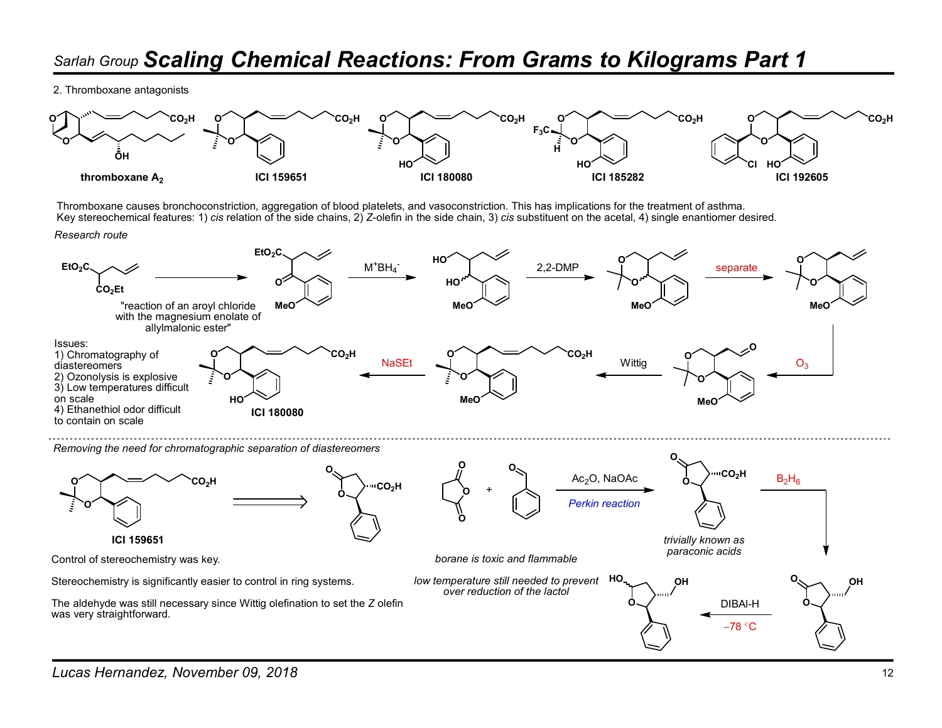2. Thromboxane antagonists



Thromboxane causes bronchoconstriction, aggregation of blood platelets, and vasoconstriction. This has implications for the treatment of asthma. Key stereochemical features: 1) cis relation of the side chains, 2) Z-olefin in the side chain, 3) cis substituent on the acetal, 4) single enantiomer desired.

Research route



Removing the need for chromatographic separation of diastereomers

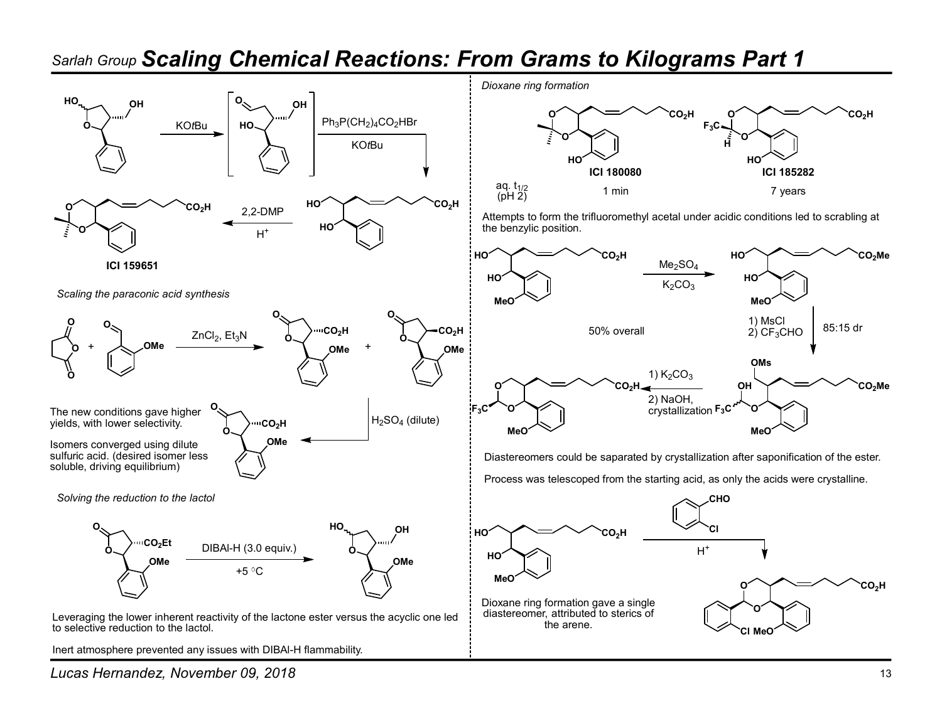

to selective reduction to the lactol.

Inert atmosphere prevented any issues with DIBAl-H flammability.

Dioxane ring formation



HO the benzylic position. Attempts to form the trifluoromethyl acetal under acidic conditions led to scrabling at



Diastereomers could be saparated by crystallization after saponification of the ester. Process was telescoped from the starting acid, as only the acids were crystalline.

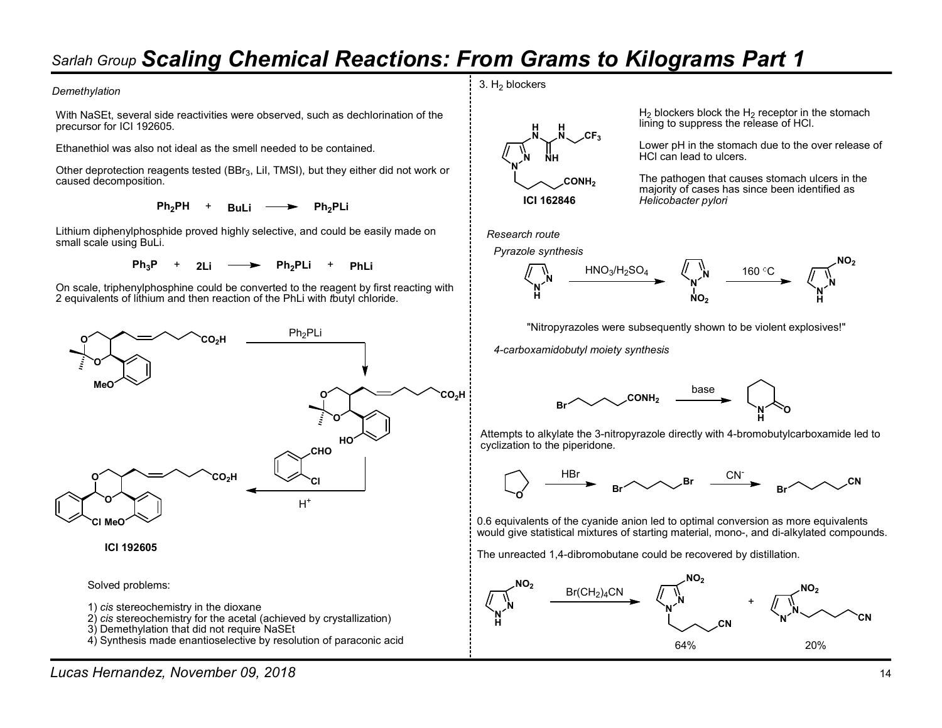#### **Demethylation**

With NaSEt, several side reactivities were observed, such as dechlorination of the precursor for ICI 192605.

Ethanethiol was also not ideal as the smell needed to be contained.

Other deprotection reagents tested (BBr3, LiI, TMSI), but they either did not work or caused decomposition.

 $Ph_2PH$  + Buli  $\longrightarrow$  Ph<sub>2</sub>PLi

Lithium diphenylphosphide proved highly selective, and could be easily made on small scale using BuLi.

 $Ph_3P$  + 2Li  $\longrightarrow$  Ph<sub>2</sub>PLi + PhLi

On scale, triphenylphosphine could be converted to the reagent by first reacting with 2 equivalents of lithium and then reaction of the PhLi with tbutyl chloride.



ICI 192605

Solved problems:

- 1) cis stereochemistry in the dioxane
- 2) cis stereochemistry for the acetal (achieved by crystallization)
- 3) Demethylation that did not require NaSEt
- 4) Synthesis made enantioselective by resolution of paraconic acid



H H lining to suppress the release of HCl.  $H<sub>2</sub>$  blockers block the  $H<sub>2</sub>$  receptor in the stomach

**N** NH HCl can lead to ulcers.  $N \sim 2F_3$ <br>
Lower pH in the stomach due to the over release of<br>
HCl can lead to ulcers.<br>
CONH<sub>2</sub> The pathogen that causes stomach ulcers in the

ICI 162846 Helicobacter pylori The pathogen that causes stomach ulcers in the majority of cases has since been identified as

Research route





"Nitropyrazoles were subsequently shown to be violent explosives!"

4-carboxamidobutyl moiety synthesis



 $H_0^{\prime}$   $\sim$   $H_0^{\prime}$   $\sim$   $H_1^{\prime}$   $\sim$   $H_2^{\prime}$   $\sim$   $H_3^{\prime}$   $\sim$   $H_4^{\prime}$ Attempts to alkylate the 3-nitropyrazole directly with 4-bromobutylcarboxamide led to



0.6 equivalents of the cyanide anion led to optimal conversion as more equivalents would give statistical mixtures of starting material, mono-, and di-alkylated compounds.

The unreacted 1,4-dibromobutane could be recovered by distillation.

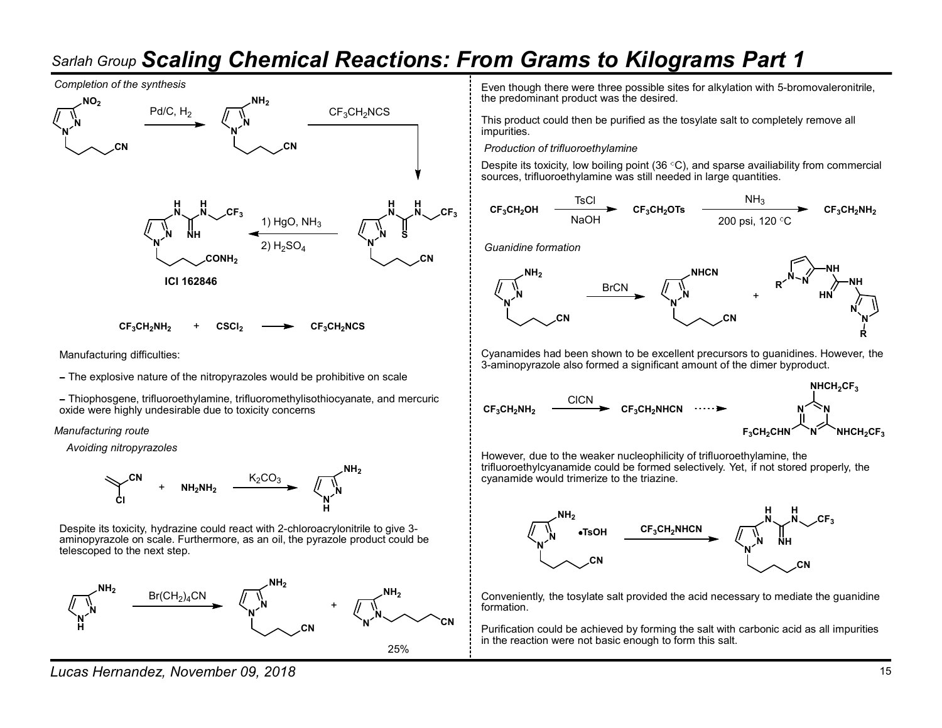



Manufacturing difficulties:

The explosive nature of the nitropyrazoles would be prohibitive on scale

Thiophosgene, trifluoroethylamine, trifluoromethylisothiocyanate, and mercuric<br>oxide were highly undesirable due to toxicity concerns oxide were highly undesirable due to toxicity concerns

Manufacturing route

Avoiding nitropyrazoles



Despite its toxicity, hydrazine could react with 2-chloroacrylonitrile to give 3 aminopyrazole on scale. Furthermore, as an oil, the pyrazole product could be telescoped to the next step.



Lucas Hernandez, November 09, 2018 15

Even though there were three possible sites for alkylation with 5-bromovaleronitrile, the predominant product was the desired.

 $\mathbf{\hat{N}}$  and the matrix  $\mathbf{\hat{S}}$  of  $\mathbf{\hat{S}}$  are  $\mathbf{\hat{S}}$ . This product could then be purified as the tosylate salt to completely remove all

Despite its toxicity, low boiling point (36 $\degree$ C), and sparse availiability from commercial sources, trifluoroethylamine was still needed in large quantities.

H N H N CF3CH2OH CF3CH2OTs CF3CH2NH2 TsCl NaOH NH3 200 psi, 120 C



Cyanamides had been shown to be excellent precursors to guanidines. However, the 3-aminopyrazole also formed a significant amount of the dimer byproduct.



 $NH<sub>2</sub>$  trifluoroethylcyanamide could be formed selectively. Yet, if not stored properly, the However, due to the weaker nucleophilicity of trifluoroethylamine, the cyanamide would trimerize to the triazine.



NH<sub>2</sub> NH<sub>2</sub> NH<sub>2</sub>  $\mathsf{NH}_2$  Conveniently, the tosylate salt provided the acid necessary to mediate the guanidine

 $CN \times CN$  CN Purification could be achieved by forming the salt with carbonic acid as all impurities in the reaction were not basic enough to form this salt.